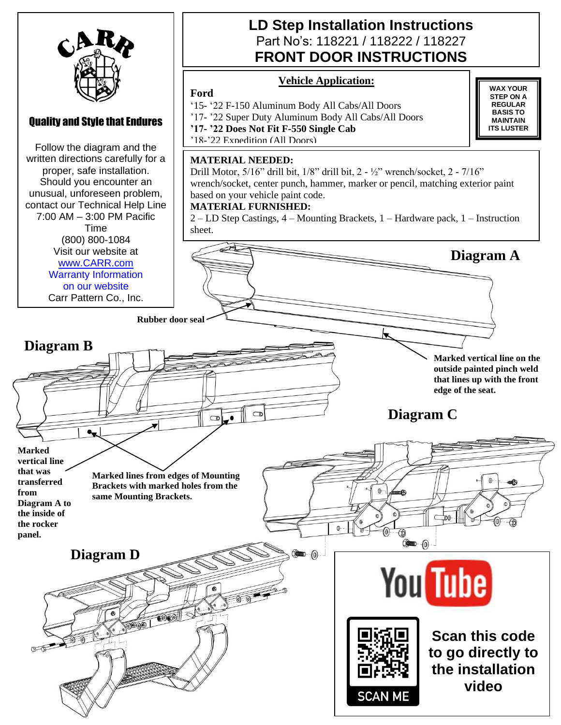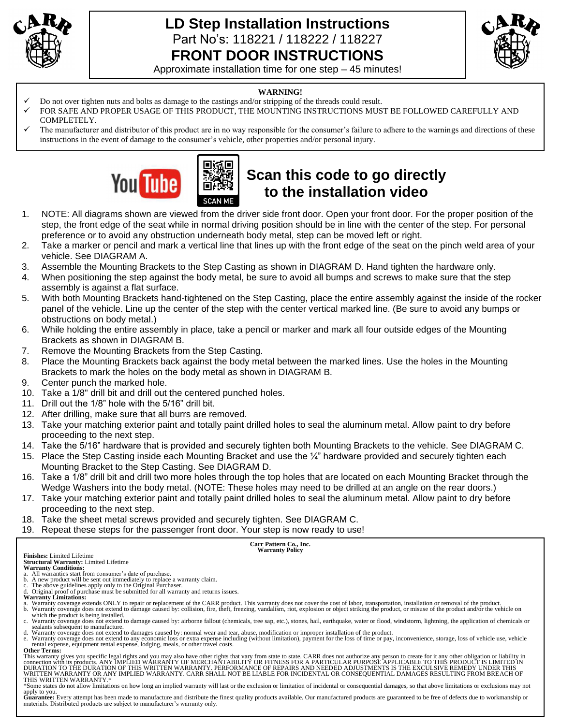

### **LD Step Installation Instructions**  Part No's: 118221 / 118222 / 118227 **FRONT DOOR INSTRUCTIONS**



Approximate installation time for one step – 45 minutes!

#### **WARNING!**

Do not over tighten nuts and bolts as damage to the castings and/or stripping of the threads could result.

П

- FOR SAFE AND PROPER USAGE OF THIS PRODUCT, THE MOUNTING INSTRUCTIONS MUST BE FOLLOWED CAREFULLY AND COMPLETELY.
- The manufacturer and distributor of this product are in no way responsible for the consumer's failure to adhere to the warnings and directions of these instructions in the event of damage to the consumer's vehicle, other properties and/or personal injury.



# **Scan this code to go directly to the installation video**

- 1. NOTE: All diagrams shown are viewed from the driver side front door. Open your front door. For the proper position of the step, the front edge of the seat while in normal driving position should be in line with the center of the step. For personal preference or to avoid any obstruction underneath body metal, step can be moved left or right.
- 2. Take a marker or pencil and mark a vertical line that lines up with the front edge of the seat on the pinch weld area of your vehicle. See DIAGRAM A.
- 3. Assemble the Mounting Brackets to the Step Casting as shown in DIAGRAM D. Hand tighten the hardware only.
- 4. When positioning the step against the body metal, be sure to avoid all bumps and screws to make sure that the step assembly is against a flat surface.
- 5. With both Mounting Brackets hand-tightened on the Step Casting, place the entire assembly against the inside of the rocker panel of the vehicle. Line up the center of the step with the center vertical marked line. (Be sure to avoid any bumps or obstructions on body metal.)
- 6. While holding the entire assembly in place, take a pencil or marker and mark all four outside edges of the Mounting Brackets as shown in DIAGRAM B.
- 7. Remove the Mounting Brackets from the Step Casting.
- 8. Place the Mounting Brackets back against the body metal between the marked lines. Use the holes in the Mounting Brackets to mark the holes on the body metal as shown in DIAGRAM B.
- 9. Center punch the marked hole.
- 10. Take a 1/8" drill bit and drill out the centered punched holes.
- 11. Drill out the 1/8" hole with the 5/16" drill bit.
- 12. After drilling, make sure that all burrs are removed.
- 13. Take your matching exterior paint and totally paint drilled holes to seal the aluminum metal. Allow paint to dry before proceeding to the next step.
- 14. Take the 5/16" hardware that is provided and securely tighten both Mounting Brackets to the vehicle. See DIAGRAM C.
- 15. Place the Step Casting inside each Mounting Bracket and use the  $\frac{1}{4}$ " hardware provided and securely tighten each Mounting Bracket to the Step Casting. See DIAGRAM D.
- 16. Take a 1/8" drill bit and drill two more holes through the top holes that are located on each Mounting Bracket through the Wedge Washers into the body metal. (NOTE: These holes may need to be drilled at an angle on the rear doors.)
- 17. Take your matching exterior paint and totally paint drilled holes to seal the aluminum metal. Allow paint to dry before proceeding to the next step.
- 18. Take the sheet metal screws provided and securely tighten. See DIAGRAM C.
- 19. Repeat these steps for the passenger front door. Your step is now ready to use!

**Carr Pattern Co., Inc. Warranty Policy**

**Finishes:** Limited Lifetime **Structural Warranty:** Limited Lifetime **Warranty Conditions:**

- 
- 
- 
- a. All warranties start from consumer's date of purchase.<br>
b. A new product will be sent out immediately to replace a warranty claim.<br>
c. The above guidelines apply only to the Original Purchaser.<br>
d. Original proof of pur
- 
- a. Warranty coverage extends ONLY to repair or replacement of the CARR product. This warranty does not cover the cost of labor, transportation, installation or removal of the product.<br>b. Warranty coverage does not extend t
- which the product is being installed.<br>c. Warranty coverage does not extend to damage caused by: airborne fallout (chemicals, tree sap, etc.), stones, hail, earthquake, water or flood, windstorm, lightning, the application sealants subsequent to manufacture.
- d. Warranty coverage does not extend to damages caused by: normal wear and tear, abuse, modification or improper installation of the product.<br>e. Warranty coverage does not extend to any economic loss or extra expense inclu rental expense, equipment rental expense, lodging, meals, or other travel costs.

**Other Terms:**

This warranty gives you specific legal rights and you may also have other rights that vary from state to state. CARR does not authorize any person to create for it any other obligation or liability in<br>connection with its p WRITTEN WARRANTY OR ANY IMPLIED WARRANTY. CARR SHALL NOT BE LIABLE FOR INCIDENTAL OR CONSEQUENTIAL DAMAGES RESULTING FROM BREACH OF<br>THIS WRITTEN WARRANTY.\*

\*Some states do not allow limitations on how long an implied warranty will last or the exclusion or limitation of incidental or consequential damages, so that above limitations or exclusions may not

apply to you.<br>Guarantee: Every attempt has been made to manufacture and distribute the finest quality products available. Our manufactured products are guaranteed to be free of defects due to workmanship or<br>materials. Dist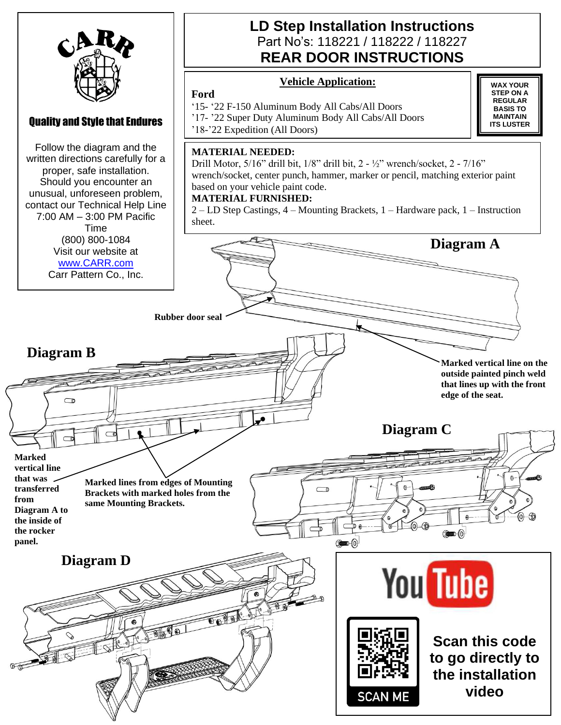